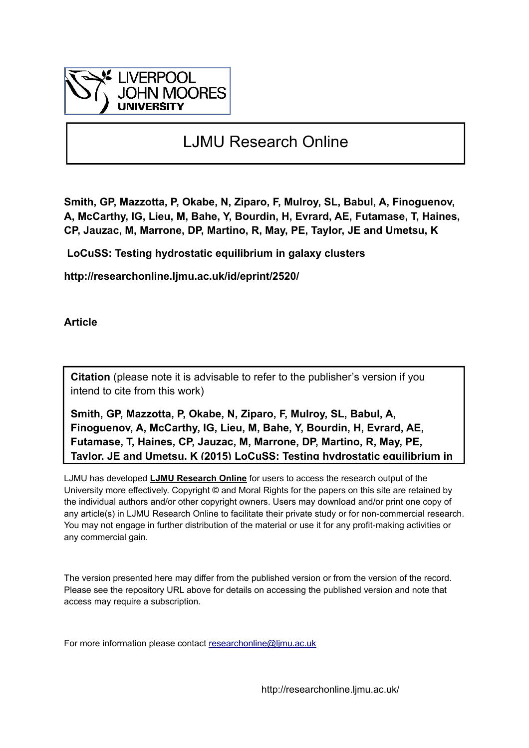

# LJMU Research Online

**Smith, GP, Mazzotta, P, Okabe, N, Ziparo, F, Mulroy, SL, Babul, A, Finoguenov, A, McCarthy, IG, Lieu, M, Bahe, Y, Bourdin, H, Evrard, AE, Futamase, T, Haines, CP, Jauzac, M, Marrone, DP, Martino, R, May, PE, Taylor, JE and Umetsu, K**

 **LoCuSS: Testing hydrostatic equilibrium in galaxy clusters**

**http://researchonline.ljmu.ac.uk/id/eprint/2520/**

**Article**

**Citation** (please note it is advisable to refer to the publisher's version if you intend to cite from this work)

**Smith, GP, Mazzotta, P, Okabe, N, Ziparo, F, Mulroy, SL, Babul, A, Finoguenov, A, McCarthy, IG, Lieu, M, Bahe, Y, Bourdin, H, Evrard, AE, Futamase, T, Haines, CP, Jauzac, M, Marrone, DP, Martino, R, May, PE, Taylor, JE and Umetsu, K (2015) LoCuSS: Testing hydrostatic equilibrium in** 

LJMU has developed **[LJMU Research Online](http://researchonline.ljmu.ac.uk/)** for users to access the research output of the University more effectively. Copyright © and Moral Rights for the papers on this site are retained by the individual authors and/or other copyright owners. Users may download and/or print one copy of any article(s) in LJMU Research Online to facilitate their private study or for non-commercial research. You may not engage in further distribution of the material or use it for any profit-making activities or any commercial gain.

The version presented here may differ from the published version or from the version of the record. Please see the repository URL above for details on accessing the published version and note that access may require a subscription.

For more information please contact researchonline@limu.ac.uk

http://researchonline.ljmu.ac.uk/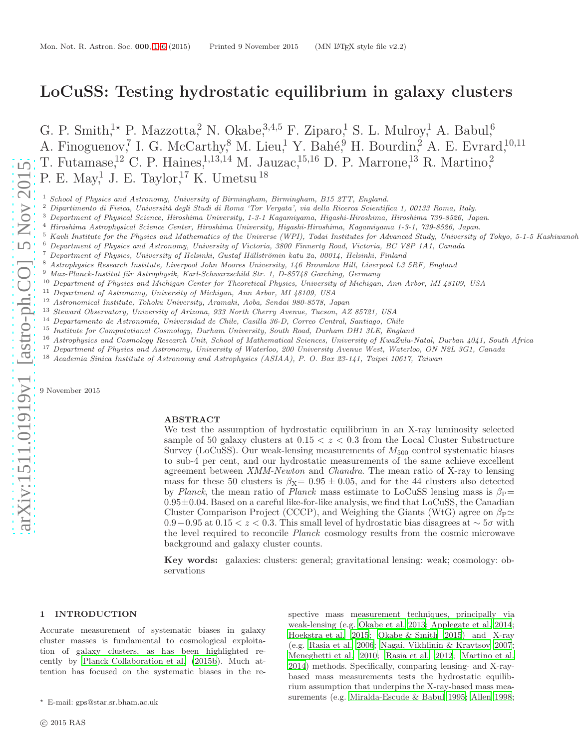# LoCuSS: Testing hydrostatic equilibrium in galaxy clusters

G. P. Smith,<sup>1</sup>\* P. Mazzotta,<sup>2</sup> N. Okabe,<sup>3,4,5</sup> F. Ziparo,<sup>1</sup> S. L. Mulroy,<sup>1</sup> A. Babul,<sup>6</sup> A. Finoguenov,<sup>7</sup> I. G. McCarthy,<sup>8</sup> M. Lieu,<sup>1</sup> Y. Bahé,<sup>9</sup> H. Bourdin,<sup>2</sup> A. E. Evrard,<sup>10,11</sup> T. Futamase,<sup>12</sup> C. P. Haines,<sup>1,13,14</sup> M. Jauzac,<sup>15,16</sup> D. P. Marrone,<sup>13</sup> R. Martino,<sup>2</sup> P. E. May,<sup>1</sup> J. E. Taylor,<sup>17</sup> K. Umetsu<sup>18</sup>

<sup>1</sup> School of Physics and Astronomy, University of Birmingham, Birmingham, B15 2TT, England.

 $^2$  Dipartimento di Fisica, Università degli Studi di Roma 'Tor Vergata', via della Ricerca Scientifica 1, 00133 Roma, Italy.

<sup>3</sup> Department of Physical Science, Hiroshima University, 1-3-1 Kagamiyama, Higashi-Hiroshima, Hiroshima 739-8526, Japan.

<sup>4</sup> Hiroshima Astrophysical Science Center, Hiroshima University, Higashi-Hiroshima, Kagamiyama 1-3-1, 739-8526, Japan.

<sup>5</sup> Kavli Institute for the Physics and Mathematics of the Universe (WPI), Todai Institutes for Advanced Study, University of Tokyo, 5-1-5 Kashiwanoh

- <sup>6</sup> Department of Physics and Astronomy, University of Victoria, 3800 Finnerty Road, Victoria, BC V8P 1A1, Canada
- Department of Physics, University of Helsinki, Gustaf Hällströmin katu 2a, 00014, Helsinki, Finland

<sup>8</sup> Astrophysics Research Institute, Liverpool John Moores University, 146 Brownlow Hill, Liverpool L3 5RF, England

- Max-Planck-Institut für Astrophysik, Karl-Schwarzschild Str. 1, D-85748 Garching, Germany
- <sup>10</sup> Department of Physics and Michigan Center for Theoretical Physics, University of Michigan, Ann Arbor, MI 48109, USA
- <sup>11</sup> Department of Astronomy, University of Michigan, Ann Arbor, MI 48109, USA
- <sup>12</sup> Astronomical Institute, Tohoku University, Aramaki, Aoba, Sendai 980-8578, Japan
- <sup>13</sup> Steward Observatory, University of Arizona, 933 North Cherry Avenue, Tucson, AZ 85721, USA<br><sup>14</sup> Departments de Astronomía, Universidad de Chile, Casilla <sup>96</sup> D. Cerres Central, Santiaco, Chi
- <sup>14</sup> Departamento de Astronom´ıa, Universidad de Chile, Casilla 36-D, Correo Central, Santiago, Chile
- <sup>15</sup> Institute for Computational Cosmology, Durham University, South Road, Durham DH1 3LE, England
- <sup>16</sup> Astrophysics and Cosmology Research Unit, School of Mathematical Sciences, University of KwaZulu-Natal, Durban 4041, South Africa
- <sup>17</sup> Department of Physics and Astronomy, University of Waterloo, 200 University Avenue West, Waterloo, ON N2L 3G1, Canada
- <sup>18</sup> Academia Sinica Institute of Astronomy and Astrophysics (ASIAA), P. O. Box 23-141, Taipei 10617, Taiwan

9 November 2015

## ABSTRACT

We test the assumption of hydrostatic equilibrium in an X-ray luminosity selected sample of 50 galaxy clusters at  $0.15 < z < 0.3$  from the Local Cluster Substructure Survey (LoCuSS). Our weak-lensing measurements of  $M_{500}$  control systematic biases to sub-4 per cent, and our hydrostatic measurements of the same achieve excellent agreement between XMM-Newton and Chandra. The mean ratio of X-ray to lensing mass for these 50 clusters is  $\beta_X = 0.95 \pm 0.05$ , and for the 44 clusters also detected by Planck, the mean ratio of Planck mass estimate to LoCuSS lensing mass is  $\beta_P$ =  $0.95\pm0.04$ . Based on a careful like-for-like analysis, we find that LoCuSS, the Canadian Cluster Comparison Project (CCCP), and Weighing the Giants (WtG) agree on  $\beta_P \simeq$  $0.9-0.95$  at  $0.15 < z < 0.3$ . This small level of hydrostatic bias disagrees at  $\sim 5\sigma$  with the level required to reconcile Planck cosmology results from the cosmic microwave background and galaxy cluster counts.

Key words: galaxies: clusters: general; gravitational lensing: weak; cosmology: observations

#### <span id="page-1-0"></span>1 INTRODUCTION

Accurate measurement of systematic biases in galaxy cluster masses is fundamental to cosmological exploitation of galaxy clusters, as has been highlighted recently by [Planck Collaboration et al. \(2015b](#page-5-0)). Much attention has focused on the systematic biases in the respective mass measurement techniques, principally via weak-lensing (e.g. [Okabe et al. 2013](#page-5-1); [Applegate et al. 2014](#page-5-2); [Hoekstra et al. 2015](#page-5-3); [Okabe & Smith 2015\)](#page-5-4) and X-ray (e.g. [Rasia et al. 2006;](#page-5-5) [Nagai, Vikhlinin & Kravtsov 2007](#page-5-6); [Meneghetti et al. 2010](#page-5-7); [Rasia et al. 2012](#page-5-8); [Martino et al.](#page-5-9) [2014](#page-5-9)) methods. Specifically, comparing lensing- and X-raybased mass measurements tests the hydrostatic equilibrium assumption that underpins the X-ray-based mass measurements (e.g. [Miralda-Escude & Babul 1995](#page-5-10); [Allen 1998](#page-5-11);

<sup>⋆</sup> E-mail: gps@star.sr.bham.ac.uk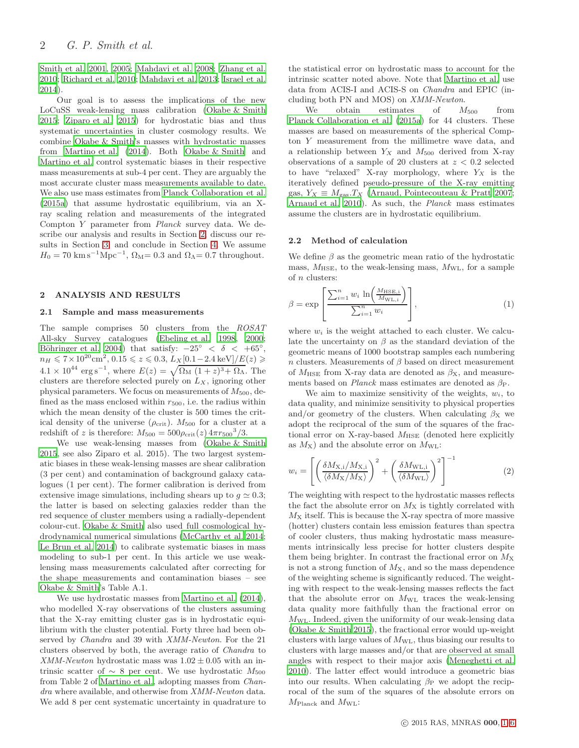[Smith et al. 2001](#page-5-12), [2005;](#page-5-13) [Mahdavi et al. 2008;](#page-5-14) [Zhang et al.](#page-5-15) [2010](#page-5-15); [Richard et al. 2010](#page-5-16); [Mahdavi et al. 2013;](#page-5-17) [Israel et al.](#page-5-18) [2014](#page-5-18)).

Our goal is to assess the implications of the new LoCuSS weak-lensing mass calibration [\(Okabe & Smith](#page-5-4) [2015](#page-5-4); [Ziparo et al. 2015](#page-6-0)) for hydrostatic bias and thus systematic uncertainties in cluster cosmology results. We combine [Okabe & Smith'](#page-5-4)s masses with hydrostatic masses from [Martino et al. \(2014](#page-5-9)). Both [Okabe & Smith](#page-5-4) and [Martino et al.](#page-5-9) control systematic biases in their respective mass measurements at sub-4 per cent. They are arguably the most accurate cluster mass measurements available to date. We also use mass estimates from [Planck Collaboration et al.](#page-5-19) [\(2015a\)](#page-5-19) that assume hydrostatic equilibrium, via an Xray scaling relation and measurements of the integrated Compton Y parameter from Planck survey data. We describe our analysis and results in Section [2,](#page-2-0) discuss our results in Section [3,](#page-3-0) and conclude in Section [4.](#page-4-0) We assume  $H_0 = 70 \text{ km s}^{-1} \text{Mpc}^{-1}$ ,  $\Omega_{\text{M}} = 0.3$  and  $\Omega_{\Lambda} = 0.7$  throughout.

#### <span id="page-2-2"></span><span id="page-2-0"></span>2 ANALYSIS AND RESULTS

#### 2.1 Sample and mass measurements

The sample comprises 50 clusters from the ROSAT All-sky Survey catalogues [\(Ebeling et al. 1998](#page-5-20), [2000;](#page-5-21) Böhringer et al. 2004) that satisfy:  $-25^{\circ}$  <  $\delta$  <  $+65^{\circ}$ ,  $n_H \leqslant 7 \times 10^{20} \text{cm}^2, 0.15 \leqslant z \leqslant 0.3, L_X[0.1-2.4 \text{ keV}]/E(z) \geqslant$  $4.1 \times 10^{44} \text{ erg s}^{-1}$ , where  $E(z) = \sqrt{\Omega_M (1+z)^3 + \Omega_\Lambda}$ . The clusters are therefore selected purely on  $L<sub>X</sub>$ , ignoring other physical parameters. We focus on measurements of  $M_{500}$ , defined as the mass enclosed within  $r_{500}$ , i.e. the radius within which the mean density of the cluster is 500 times the critical density of the universe  $(\rho_{\rm crit})$ .  $M_{500}$  for a cluster at a redshift of z is therefore:  $M_{500} = 500 \rho_{\rm crit}(z) 4\pi r_{500}^{3}/3$ .

We use weak-lensing masses from [\(Okabe & Smith](#page-5-4) [2015](#page-5-4), see also Ziparo et al. 2015). The two largest systematic biases in these weak-lensing masses are shear calibration (3 per cent) and contamination of background galaxy catalogues (1 per cent). The former calibration is derived from extensive image simulations, including shears up to  $q \approx 0.3$ ; the latter is based on selecting galaxies redder than the red sequence of cluster members using a radially-dependent colour-cut. [Okabe & Smith](#page-5-4) also used full cosmological hydrodynamical numerical simulations [\(McCarthy et al. 2014;](#page-5-23) [Le Brun et al. 2014\)](#page-5-24) to calibrate systematic biases in mass modeling to sub-1 per cent. In this article we use weaklensing mass measurements calculated after correcting for the shape measurements and contamination biases – see [Okabe & Smith](#page-5-4)'s Table A.1.

We use hydrostatic masses from [Martino et al. \(2014](#page-5-9)), who modelled X-ray observations of the clusters assuming that the X-ray emitting cluster gas is in hydrostatic equilibrium with the cluster potential. Forty three had been observed by *Chandra* and 39 with *XMM-Newton*. For the 21 clusters observed by both, the average ratio of Chandra to XMM-Newton hydrostatic mass was  $1.02 \pm 0.05$  with an intrinsic scatter of  $\sim 8$  per cent. We use hydrostatic  $M_{500}$ from Table 2 of [Martino et al.,](#page-5-9) adopting masses from Chandra where available, and otherwise from XMM-Newton data. We add 8 per cent systematic uncertainty in quadrature to the statistical error on hydrostatic mass to account for the intrinsic scatter noted above. Note that [Martino et al.](#page-5-9) use data from ACIS-I and ACIS-S on Chandra and EPIC (including both PN and MOS) on XMM-Newton.

We obtain estimates of  $M_{500}$  from [Planck Collaboration et al. \(2015a](#page-5-19)) for 44 clusters. These masses are based on measurements of the spherical Compton Y measurement from the millimetre wave data, and a relationship between  $Y_X$  and  $M_{500}$  derived from X-ray observations of a sample of 20 clusters at  $z < 0.2$  selected to have "relaxed" X-ray morphology, where  $Y_X$  is the iteratively defined pseudo-pressure of the X-ray emitting gas,  $Y_X \equiv M_{\text{gas}}.T_X$  [\(Arnaud, Pointecouteau & Pratt 2007](#page-5-25); [Arnaud et al. 2010](#page-5-26)). As such, the Planck mass estimates assume the clusters are in hydrostatic equilibrium.

#### <span id="page-2-1"></span>2.2 Method of calculation

We define  $\beta$  as the geometric mean ratio of the hydrostatic mass,  $M_{\text{HSE}}$ , to the weak-lensing mass,  $M_{\text{WL}}$ , for a sample of n clusters:

$$
\beta = \exp\left[\frac{\sum_{i=1}^{n} w_i \ln\left(\frac{M_{\text{HSE},i}}{M_{\text{WL},i}}\right)}{\sum_{i=1}^{n} w_i}\right],\tag{1}
$$

where  $w_i$  is the weight attached to each cluster. We calculate the uncertainty on  $\beta$  as the standard deviation of the geometric means of 1000 bootstrap samples each numbering n clusters. Measurements of  $\beta$  based on direct measurement of  $M_{\text{HSE}}$  from X-ray data are denoted as  $\beta_{\text{X}}$ , and measurements based on *Planck* mass estimates are denoted as  $\beta_P$ .

We aim to maximize sensitivity of the weights,  $w_i$ , to data quality, and minimize sensitivity to physical properties and/or geometry of the clusters. When calculating  $\beta_X$  we adopt the reciprocal of the sum of the squares of the fractional error on X-ray-based  $M_{HSE}$  (denoted here explicitly as  $M_X$ ) and the absolute error on  $M_{\text{WL}}$ :

$$
w_i = \left[ \left( \frac{\delta M_{\rm X,i}/M_{\rm X,i}}{\langle \delta M_{\rm X}/M_{\rm X} \rangle} \right)^2 + \left( \frac{\delta M_{\rm WL,i}}{\langle \delta M_{\rm WL} \rangle} \right)^2 \right]^{-1} \tag{2}
$$

The weighting with respect to the hydrostatic masses reflects the fact the absolute error on  $M_X$  is tightly correlated with  $M<sub>X</sub>$  itself. This is because the X-ray spectra of more massive (hotter) clusters contain less emission features than spectra of cooler clusters, thus making hydrostatic mass measurements intrinsically less precise for hotter clusters despite them being brighter. In contrast the fractional error on  $M_X$ is not a strong function of  $M_X$ , and so the mass dependence of the weighting scheme is significantly reduced. The weighting with respect to the weak-lensing masses reflects the fact that the absolute error on  $M_{\text{WL}}$  traces the weak-lensing data quality more faithfully than the fractional error on  $M_{\text{WL}}$ . Indeed, given the uniformity of our weak-lensing data [\(Okabe & Smith 2015](#page-5-4)), the fractional error would up-weight clusters with large values of  $M_{\text{WL}}$ , thus biasing our results to clusters with large masses and/or that are observed at small angles with respect to their major axis [\(Meneghetti et al.](#page-5-7) [2010](#page-5-7)). The latter effect would introduce a geometric bias into our results. When calculating  $\beta_P$  we adopt the reciprocal of the sum of the squares of the absolute errors on  $M_{\text{Planck}}$  and  $M_{\text{WL}}$ :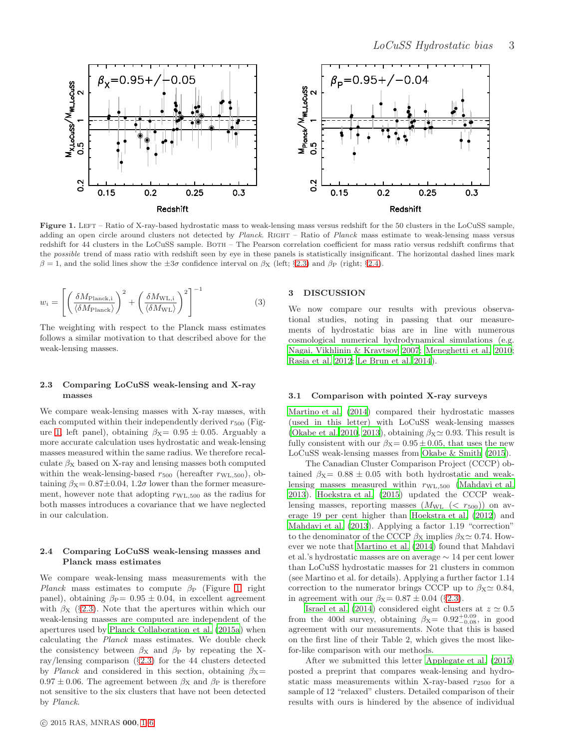

<span id="page-3-3"></span>Figure 1. LEFT – Ratio of X-ray-based hydrostatic mass to weak-lensing mass versus redshift for the 50 clusters in the LoCuSS sample, adding an open circle around clusters not detected by Planck. RIGHT – Ratio of Planck mass estimate to weak-lensing mass versus redshift for 44 clusters in the LoCuSS sample. BOTH – The Pearson correlation coefficient for mass ratio versus redshift confirms that the possible trend of mass ratio with redshift seen by eye in these panels is statistically insignificant. The horizontal dashed lines mark  $β = 1$ , and the solid lines show the  $±3σ$  confidence interval on  $β<sub>X</sub>$  (left; §[2.3\)](#page-3-1) and  $β<sub>P</sub>$  (right; §[2.4\)](#page-3-2).

$$
w_i = \left[ \left( \frac{\delta M_{\text{Planck},i}}{\langle \delta M_{\text{Planck}} \rangle} \right)^2 + \left( \frac{\delta M_{\text{WL},i}}{\langle \delta M_{\text{WL}} \rangle} \right)^2 \right]^{-1} \tag{3}
$$

The weighting with respect to the Planck mass estimates follows a similar motivation to that described above for the weak-lensing masses.

## <span id="page-3-1"></span>2.3 Comparing LoCuSS weak-lensing and X-ray masses

We compare weak-lensing masses with X-ray masses, with each computed within their independently derived  $r_{500}$  (Fig-ure [1,](#page-3-3) left panel), obtaining  $\beta_{X} = 0.95 \pm 0.05$ . Arguably a more accurate calculation uses hydrostatic and weak-lensing masses measured within the same radius. We therefore recalculate  $\beta_X$  based on X-ray and lensing masses both computed within the weak-lensing-based  $r_{500}$  (hereafter  $r_{\text{WL},500}$ ), obtaining  $\beta$ x = 0.87±0.04, 1.2 $\sigma$  lower than the former measurement, however note that adopting  $r_{\text{WL},500}$  as the radius for both masses introduces a covariance that we have neglected in our calculation.

## <span id="page-3-2"></span>2.4 Comparing LoCuSS weak-lensing masses and Planck mass estimates

We compare weak-lensing mass measurements with the Planck mass estimates to compute  $\beta_P$  (Figure [1,](#page-3-3) right panel), obtaining  $\beta_P = 0.95 \pm 0.04$ , in excellent agreement with  $\beta_X$  (§[2.3\)](#page-3-1). Note that the apertures within which our weak-lensing masses are computed are independent of the apertures used by [Planck Collaboration et al. \(2015a\)](#page-5-19) when calculating the Planck mass estimates. We double check the consistency between  $\beta_X$  and  $\beta_P$  by repeating the Xray/lensing comparison  $(\S2.3)$  $(\S2.3)$  for the 44 clusters detected by Planck and considered in this section, obtaining  $\beta$ <sub>X</sub>=  $0.97 \pm 0.06$ . The agreement between  $\beta_X$  and  $\beta_P$  is therefore not sensitive to the six clusters that have not been detected by Planck.

#### <span id="page-3-0"></span>3 DISCUSSION

We now compare our results with previous observational studies, noting in passing that our measurements of hydrostatic bias are in line with numerous cosmological numerical hydrodynamical simulations (e.g. [Nagai, Vikhlinin & Kravtsov 2007;](#page-5-6) [Meneghetti et al. 2010](#page-5-7); [Rasia et al. 2012](#page-5-8); [Le Brun et al. 2014](#page-5-24)).

#### 3.1 Comparison with pointed X-ray surveys

[Martino et al. \(2014](#page-5-9)) compared their hydrostatic masses (used in this letter) with LoCuSS weak-lensing masses [\(Okabe et al. 2010](#page-5-27), [2013](#page-5-1)), obtaining  $\beta_{\text{X}} \simeq 0.93$ . This result is fully consistent with our  $\beta x = 0.95 \pm 0.05$ , that uses the new LoCuSS weak-lensing masses from [Okabe & Smith \(2015](#page-5-4)).

The Canadian Cluster Comparison Project (CCCP) obtained  $\beta_{X} = 0.88 \pm 0.05$  with both hydrostatic and weaklensing masses measured within  $r_{\text{WL},500}$  [\(Mahdavi et al.](#page-5-17) [2013](#page-5-17)). [Hoekstra et al. \(2015\)](#page-5-3) updated the CCCP weaklensing masses, reporting masses  $(M_{\text{WL}} \ (< r_{500})$  on average 19 per cent higher than [Hoekstra et al. \(2012](#page-5-28)) and [Mahdavi et al. \(2013](#page-5-17)). Applying a factor 1.19 "correction" to the denominator of the CCCP  $\beta_X$  implies  $\beta_X \simeq 0.74$ . However we note that [Martino et al. \(2014\)](#page-5-9) found that Mahdavi et al.'s hydrostatic masses are on average ∼ 14 per cent lower than LoCuSS hydrostatic masses for 21 clusters in common (see Martino et al. for details). Applying a further factor 1.14 correction to the numerator brings CCCP up to  $\beta_{X} \simeq 0.84$ , in agreement with our  $\beta_{\text{X}}= 0.87 \pm 0.04$  (§[2.3\)](#page-3-1).

[Israel et al. \(2014\)](#page-5-18) considered eight clusters at  $z \simeq 0.5$ from the 400d survey, obtaining  $\beta_{\text{X}}= 0.92^{+0.09}_{-0.08}$ , in good agreement with our measurements. Note that this is based on the first line of their Table 2, which gives the most likefor-like comparison with our methods.

After we submitted this letter [Applegate et al. \(2015](#page-5-29)) posted a preprint that compares weak-lensing and hydrostatic mass measurements within X-ray-based  $r_{2500}$  for a sample of 12 "relaxed" clusters. Detailed comparison of their results with ours is hindered by the absence of individual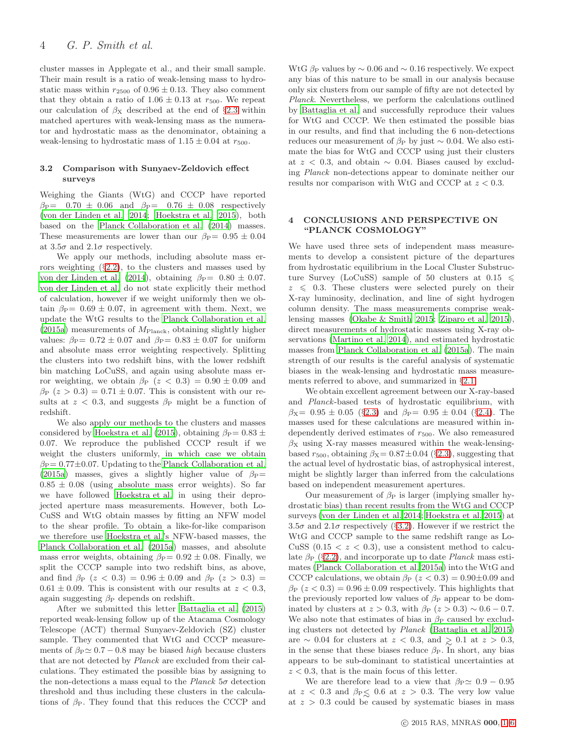cluster masses in Applegate et al., and their small sample. Their main result is a ratio of weak-lensing mass to hydrostatic mass within  $r_{2500}$  of  $0.96 \pm 0.13$ . They also comment that they obtain a ratio of  $1.06 \pm 0.13$  at  $r_{500}$ . We repeat our calculation of  $\beta_X$  described at the end of §[2.3](#page-3-1) within matched apertures with weak-lensing mass as the numerator and hydrostatic mass as the denominator, obtaining a weak-lensing to hydrostatic mass of  $1.15 \pm 0.04$  at  $r_{500}$ .

#### <span id="page-4-1"></span>3.2 Comparison with Sunyaev-Zeldovich effect surveys

Weighing the Giants (WtG) and CCCP have reported  $\beta_{\rm P} = 0.70 \pm 0.06$  and  $\beta_{\rm P} = 0.76 \pm 0.08$  respectively [\(von der Linden et al. 2014](#page-5-30); [Hoekstra et al. 2015](#page-5-3)), both based on the [Planck Collaboration et al. \(2014\)](#page-5-31) masses. These measurements are lower than our  $\beta_{\rm P} = 0.95 \pm 0.04$ at  $3.5\sigma$  and  $2.1\sigma$  respectively.

We apply our methods, including absolute mass errors weighting  $(\S2.2)$  $(\S2.2)$ , to the clusters and masses used by [von der Linden et al. \(2014\)](#page-5-30), obtaining  $\beta_P = 0.80 \pm 0.07$ . [von der Linden et al.](#page-5-30) do not state explicitly their method of calculation, however if we weight uniformly then we obtain  $\beta_{\rm P} = 0.69 \pm 0.07$ , in agreement with them. Next, we update the WtG results to the [Planck Collaboration et al.](#page-5-19) [\(2015a\)](#page-5-19) measurements of  $M_{\text{Planck}}$ , obtaining slightly higher values:  $\beta_P = 0.72 \pm 0.07$  and  $\beta_P = 0.83 \pm 0.07$  for uniform and absolute mass error weighting respectively. Splitting the clusters into two redshift bins, with the lower redshift bin matching LoCuSS, and again using absolute mass error weighting, we obtain  $\beta_P$  ( $z < 0.3$ ) = 0.90 ± 0.09 and  $\beta_P$  ( $z > 0.3$ ) = 0.71 ± 0.07. This is consistent with our results at  $z < 0.3$ , and suggests  $\beta_P$  might be a function of redshift.

We also apply our methods to the clusters and masses considered by [Hoekstra et al. \(2015\)](#page-5-3), obtaining  $\beta_P = 0.83 \pm$ 0.07. We reproduce the published CCCP result if we weight the clusters uniformly, in which case we obtain  $\beta_P = 0.77 \pm 0.07$ . Updating to the [Planck Collaboration et al.](#page-5-19) [\(2015a\)](#page-5-19) masses, gives a slightly higher value of  $\beta_P=$  $0.85 \pm 0.08$  (using absolute mass error weights). So far we have followed [Hoekstra et al.](#page-5-3) in using their deprojected aperture mass measurements. However, both Lo-CuSS and WtG obtain masses by fitting an NFW model to the shear profile. To obtain a like-for-like comparison we therefore use [Hoekstra et al.'](#page-5-3)s NFW-based masses, the [Planck Collaboration et al. \(2015a](#page-5-19)) masses, and absolute mass error weights, obtaining  $\beta_P = 0.92 \pm 0.08$ . Finally, we split the CCCP sample into two redshift bins, as above, and find  $\beta_P$  ( $z < 0.3$ ) = 0.96 ± 0.09 and  $\beta_P$  ( $z > 0.3$ ) =  $0.61 \pm 0.09$ . This is consistent with our results at  $z < 0.3$ , again suggesting  $\beta_P$  depends on redshift.

After we submitted this letter [Battaglia et al. \(2015](#page-5-32)) reported weak-lensing follow up of the Atacama Cosmology Telescope (ACT) thermal Sunyaev-Zeldovich (SZ) cluster sample. They commented that WtG and CCCP measurements of  $\beta_P \simeq 0.7 - 0.8$  may be biased *high* because clusters that are not detected by Planck are excluded from their calculations. They estimated the possible bias by assigning to the non-detections a mass equal to the Planck  $5\sigma$  detection threshold and thus including these clusters in the calculations of  $\beta_P$ . They found that this reduces the CCCP and WtG  $\beta_P$  values by  $\sim 0.06$  and  $\sim 0.16$  respectively. We expect any bias of this nature to be small in our analysis because only six clusters from our sample of fifty are not detected by Planck. Nevertheless, we perform the calculations outlined by [Battaglia et al.](#page-5-32) and successfully reproduce their values for WtG and CCCP. We then estimated the possible bias in our results, and find that including the 6 non-detections reduces our measurement of  $\beta_P$  by just ~ 0.04. We also estimate the bias for WtG and CCCP using just their clusters at  $z < 0.3$ , and obtain  $\sim 0.04$ . Biases caused by excluding Planck non-detections appear to dominate neither our results nor comparison with WtG and CCCP at  $z < 0.3$ .

#### <span id="page-4-0"></span>4 CONCLUSIONS AND PERSPECTIVE ON "PLANCK COSMOLOGY"

We have used three sets of independent mass measurements to develop a consistent picture of the departures from hydrostatic equilibrium in the Local Cluster Substructure Survey (LoCuSS) sample of 50 clusters at  $0.15 \leq$  $z \leq 0.3$ . These clusters were selected purely on their X-ray luminosity, declination, and line of sight hydrogen column density. The mass measurements comprise weaklensing masses [\(Okabe & Smith 2015](#page-5-4); [Ziparo et al. 2015](#page-6-0)), direct measurements of hydrostatic masses using X-ray observations [\(Martino et al. 2014](#page-5-9)), and estimated hydrostatic masses from [Planck Collaboration et al. \(2015a](#page-5-19)). The main strength of our results is the careful analysis of systematic biases in the weak-lensing and hydrostatic mass measurements referred to above, and summarized in §[2.1.](#page-2-2)

We obtain excellent agreement between our X-ray-based and Planck-based tests of hydrostatic equilibrium, with  $\beta_{X} = 0.95 \pm 0.05$  (§[2.3\)](#page-3-1) and  $\beta_{P} = 0.95 \pm 0.04$  (§[2.4\)](#page-3-2). The masses used for these calculations are measured within independently derived estimates of  $r_{500}$ . We also remeasured  $\beta$ <sub>X</sub> using X-ray masses measured within the weak-lensingbased  $r_{500}$ , obtaining  $\beta$ x = 0.87 ± 0.04 (§[2.3\)](#page-3-1), suggesting that the actual level of hydrostatic bias, of astrophysical interest, might be slightly larger than inferred from the calculations based on independent measurement apertures.

Our measurement of  $\beta_P$  is larger (implying smaller hydrostatic bias) than recent results from the WtG and CCCP surveys [\(von der Linden et al. 2014](#page-5-30); [Hoekstra et al. 2015](#page-5-3)) at 3.5 $\sigma$  and 2.1 $\sigma$  respectively (§[3.2\)](#page-4-1). However if we restrict the WtG and CCCP sample to the same redshift range as Lo-CuSS  $(0.15 < z < 0.3)$ , use a consistent method to calculate  $\beta_P$  (§[2.2\)](#page-2-1), and incorporate up to date *Planck* mass estimates [\(Planck Collaboration et al. 2015a](#page-5-19)) into the WtG and CCCP calculations, we obtain  $\beta_P$  ( $z < 0.3$ ) = 0.90±0.09 and  $\beta_P$  (z < 0.3) = 0.96 ± 0.09 respectively. This highlights that the previously reported low values of  $\beta_P$  appear to be dominated by clusters at  $z > 0.3$ , with  $\beta_P$  ( $z > 0.3$ ) ~ 0.6 – 0.7. We also note that estimates of bias in  $\beta_P$  caused by excluding clusters not detected by Planck [\(Battaglia et al. 2015](#page-5-32)) are ∼ 0.04 for clusters at  $z < 0.3$ , and  $\ge 0.1$  at  $z > 0.3$ , in the sense that these biases reduce  $\beta_P$ . In short, any bias appears to be sub-dominant to statistical uncertainties at  $z < 0.3$ , that is the main focus of this letter.

We are therefore lead to a view that  $\beta_P \simeq 0.9 - 0.95$ at  $z < 0.3$  and  $\beta_{\rm P} \leq 0.6$  at  $z > 0.3$ . The very low value at  $z > 0.3$  could be caused by systematic biases in mass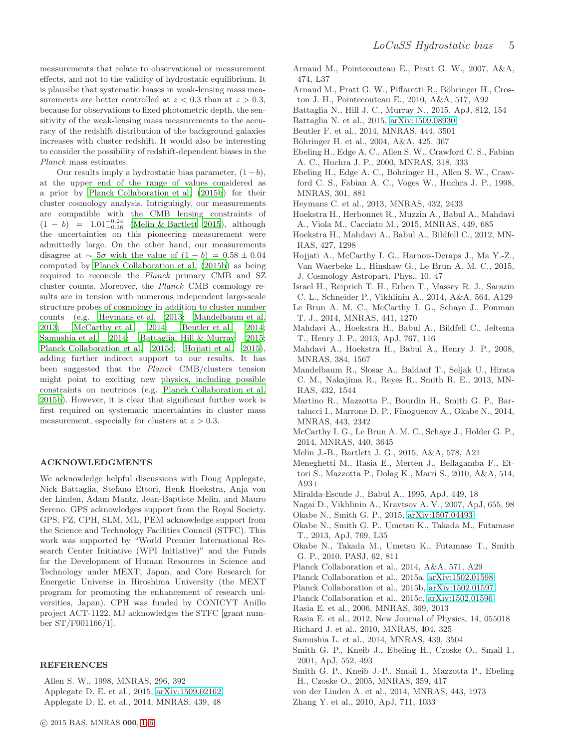measurements that relate to observational or measurement effects, and not to the validity of hydrostatic equilibrium. It is plausibe that systematic biases in weak-lensing mass measurements are better controlled at  $z < 0.3$  than at  $z > 0.3$ , because for observations to fixed photometric depth, the sensitivity of the weak-lensing mass measurements to the accuracy of the redshift distribution of the background galaxies increases with cluster redshift. It would also be interesting

Planck mass estimates. Our results imply a hydrostatic bias parameter,  $(1-b)$ , at the upper end of the range of values considered as a prior by [Planck Collaboration et al. \(2015b\)](#page-5-0) for their cluster cosmology analysis. Intriguingly, our measurements are compatible with the CMB lensing constraints of  $(1 - b) = 1.01^{+0.24}_{-0.16}$ (Melin  $&$  Bartlett 2015), although the uncertainties on this pioneering measurement were admittedly large. On the other hand, our measurements disagree at  $\sim 5\sigma$  with the value of  $(1 - b) = 0.58 \pm 0.04$ computed by [Planck Collaboration et al. \(2015b](#page-5-0)) as being required to reconcile the Planck primary CMB and SZ cluster counts. Moreover, the Planck CMB cosmology results are in tension with numerous independent large-scale structure probes of cosmology in addition to cluster number counts (e.g. [Heymans et al. 2013](#page-5-34); [Mandelbaum et al.](#page-5-35) [2013](#page-5-35); [McCarthy et al. 2014](#page-5-23); [Beutler et al. 2014;](#page-5-36) [Samushia et al. 2014;](#page-5-37) [Battaglia, Hill & Murray 2015;](#page-5-38) [Planck Collaboration et al. 2015c](#page-5-39); [Hojjati et al. 2015](#page-5-40)), adding further indirect support to our results. It has been suggested that the Planck CMB/clusters tension might point to exciting new physics, including possible constraints on neutrinos (e.g. [Planck Collaboration et al.](#page-5-0) [2015b\)](#page-5-0). However, it is clear that significant further work is first required on systematic uncertainties in cluster mass measurement, especially for clusters at  $z > 0.3$ .

to consider the possibility of redshift-dependent biases in the

#### ACKNOWLEDGMENTS

We acknowledge helpful discussions with Doug Applegate, Nick Battaglia, Stefano Ettori, Henk Hoekstra, Anja von der Linden, Adam Mantz, Jean-Baptiste Melin, and Mauro Sereno. GPS acknowledges support from the Royal Society. GPS, FZ, CPH, SLM, ML, PEM acknowledge support from the Science and Technology Facilities Council (STFC). This work was supported by "World Premier International Research Center Initiative (WPI Initiative)" and the Funds for the Development of Human Resources in Science and Technology under MEXT, Japan, and Core Research for Energetic Universe in Hiroshima University (the MEXT program for promoting the enhancement of research universities, Japan). CPH was funded by CONICYT Anillo project ACT-1122. MJ acknowledges the STFC [grant number ST/F001166/1].

#### REFERENCES

<span id="page-5-29"></span><span id="page-5-11"></span><span id="page-5-2"></span>Allen S. W., 1998, MNRAS, 296, 392 Applegate D. E. et al., 2015, [arXiv:1509.02162](http://arxiv.org/abs/1509.02162) Applegate D. E. et al., 2014, MNRAS, 439, 48

- <span id="page-5-25"></span>Arnaud M., Pointecouteau E., Pratt G. W., 2007, A&A, 474, L37
- <span id="page-5-26"></span>Arnaud M., Pratt G. W., Piffaretti R., Böhringer H., Croston J. H., Pointecouteau E., 2010, A&A, 517, A92
- <span id="page-5-38"></span>Battaglia N., Hill J. C., Murray N., 2015, ApJ, 812, 154
- <span id="page-5-32"></span>Battaglia N. et al., 2015, [arXiv:1509.08930](http://arxiv.org/abs/1509.08930)
- <span id="page-5-36"></span>Beutler F. et al., 2014, MNRAS, 444, 3501
- <span id="page-5-22"></span>Böhringer H. et al., 2004, A&A, 425, 367
- <span id="page-5-21"></span>Ebeling H., Edge A. C., Allen S. W., Crawford C. S., Fabian A. C., Huchra J. P., 2000, MNRAS, 318, 333
- <span id="page-5-20"></span>Ebeling H., Edge A. C., Bohringer H., Allen S. W., Crawford C. S., Fabian A. C., Voges W., Huchra J. P., 1998, MNRAS, 301, 881
- <span id="page-5-34"></span>Heymans C. et al., 2013, MNRAS, 432, 2433
- <span id="page-5-3"></span>Hoekstra H., Herbonnet R., Muzzin A., Babul A., Mahdavi A., Viola M., Cacciato M., 2015, MNRAS, 449, 685
- <span id="page-5-28"></span>Hoekstra H., Mahdavi A., Babul A., Bildfell C., 2012, MN-RAS, 427, 1298
- <span id="page-5-40"></span>Hojjati A., McCarthy I. G., Harnois-Deraps J., Ma Y.-Z., Van Waerbeke L., Hinshaw G., Le Brun A. M. C., 2015, J. Cosmology Astropart. Phys., 10, 47
- <span id="page-5-18"></span>Israel H., Reiprich T. H., Erben T., Massey R. J., Sarazin C. L., Schneider P., Vikhlinin A., 2014, A&A, 564, A129 Le Brun A. M. C., McCarthy I. G., Schaye J., Ponman T. J., 2014, MNRAS, 441, 1270
- <span id="page-5-24"></span><span id="page-5-17"></span>Mahdavi A., Hoekstra H., Babul A., Bildfell C., Jeltema T., Henry J. P., 2013, ApJ, 767, 116
- <span id="page-5-14"></span>Mahdavi A., Hoekstra H., Babul A., Henry J. P., 2008, MNRAS, 384, 1567
- <span id="page-5-35"></span>Mandelbaum R., Slosar A., Baldauf T., Seljak U., Hirata C. M., Nakajima R., Reyes R., Smith R. E., 2013, MN-RAS, 432, 1544
- <span id="page-5-9"></span>Martino R., Mazzotta P., Bourdin H., Smith G. P., Bartalucci I., Marrone D. P., Finoguenov A., Okabe N., 2014, MNRAS, 443, 2342
- <span id="page-5-23"></span>McCarthy I. G., Le Brun A. M. C., Schaye J., Holder G. P., 2014, MNRAS, 440, 3645
- <span id="page-5-33"></span>Melin J.-B., Bartlett J. G., 2015, A&A, 578, A21
- <span id="page-5-7"></span>Meneghetti M., Rasia E., Merten J., Bellagamba F., Ettori S., Mazzotta P., Dolag K., Marri S., 2010, A&A, 514, A93+
- <span id="page-5-10"></span>Miralda-Escude J., Babul A., 1995, ApJ, 449, 18

<span id="page-5-6"></span>Nagai D., Vikhlinin A., Kravtsov A. V., 2007, ApJ, 655, 98

- <span id="page-5-4"></span>Okabe N., Smith G. P., 2015, [arXiv:1507.04493](http://arxiv.org/abs/1507.04493)
- <span id="page-5-1"></span>Okabe N., Smith G. P., Umetsu K., Takada M., Futamase T., 2013, ApJ, 769, L35
- <span id="page-5-27"></span>Okabe N., Takada M., Umetsu K., Futamase T., Smith G. P., 2010, PASJ, 62, 811
- <span id="page-5-31"></span>Planck Collaboration et al., 2014, A&A, 571, A29
- <span id="page-5-19"></span>Planck Collaboration et al., 2015a, [arXiv:1502.01598](http://arxiv.org/abs/1502.01598)
- <span id="page-5-0"></span>Planck Collaboration et al., 2015b, [arXiv:1502.01597](http://arxiv.org/abs/1502.01597)
- <span id="page-5-39"></span>Planck Collaboration et al., 2015c, [arXiv:1502.01596](http://arxiv.org/abs/1502.01596)
- <span id="page-5-5"></span>Rasia E. et al., 2006, MNRAS, 369, 2013
- <span id="page-5-8"></span>Rasia E. et al., 2012, New Journal of Physics, 14, 055018 Richard J. et al., 2010, MNRAS, 404, 325
- <span id="page-5-37"></span><span id="page-5-16"></span>Samushia L. et al., 2014, MNRAS, 439, 3504
- <span id="page-5-12"></span>Smith G. P., Kneib J., Ebeling H., Czoske O., Smail I., 2001, ApJ, 552, 493
- <span id="page-5-13"></span>Smith G. P., Kneib J.-P., Smail I., Mazzotta P., Ebeling H., Czoske O., 2005, MNRAS, 359, 417
- <span id="page-5-30"></span>von der Linden A. et al., 2014, MNRAS, 443, 1973
- <span id="page-5-15"></span>Zhang Y. et al., 2010, ApJ, 711, 1033